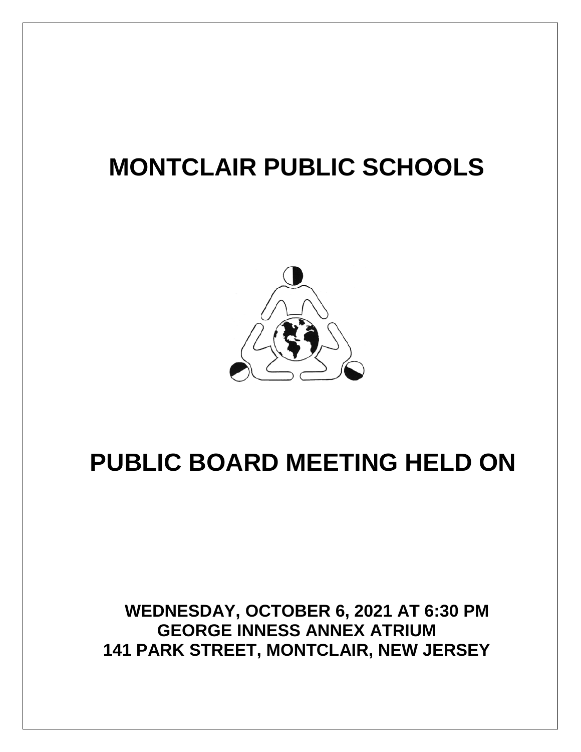# **MONTCLAIR PUBLIC SCHOOLS**



# **PUBLIC BOARD MEETING HELD ON**

**WEDNESDAY, OCTOBER 6, 2021 AT 6:30 PM GEORGE INNESS ANNEX ATRIUM 141 PARK STREET, MONTCLAIR, NEW JERSEY**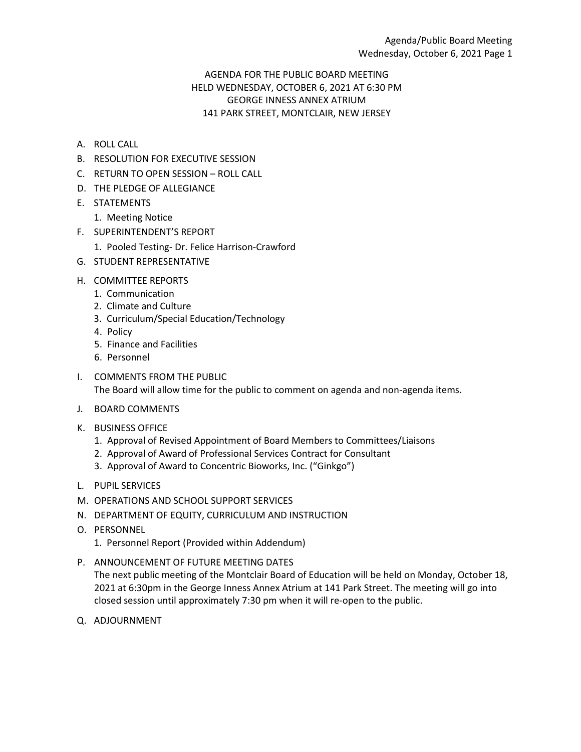# AGENDA FOR THE PUBLIC BOARD MEETING HELD WEDNESDAY, OCTOBER 6, 2021 AT 6:30 PM GEORGE INNESS ANNEX ATRIUM 141 PARK STREET, MONTCLAIR, NEW JERSEY

- A. ROLL CALL
- B. RESOLUTION FOR EXECUTIVE SESSION
- C. RETURN TO OPEN SESSION ROLL CALL
- D. THE PLEDGE OF ALLEGIANCE
- E. STATEMENTS
	- 1. Meeting Notice
- F. SUPERINTENDENT'S REPORT
	- 1. Pooled Testing- Dr. Felice Harrison-Crawford
- G. STUDENT REPRESENTATIVE
- H. COMMITTEE REPORTS
	- 1. Communication
	- 2. Climate and Culture
	- 3. Curriculum/Special Education/Technology
	- 4. Policy
	- 5. Finance and Facilities
	- 6. Personnel
- I. COMMENTS FROM THE PUBLIC The Board will allow time for the public to comment on agenda and non-agenda items.
- J. BOARD COMMENTS
- K. BUSINESS OFFICE
	- 1. Approval of Revised Appointment of Board Members to Committees/Liaisons
	- 2. Approval of Award of Professional Services Contract for Consultant
	- 3. Approval of Award to Concentric Bioworks, Inc. ("Ginkgo")
- L. PUPIL SERVICES
- M. OPERATIONS AND SCHOOL SUPPORT SERVICES
- N. DEPARTMENT OF EQUITY, CURRICULUM AND INSTRUCTION
- O. PERSONNEL
	- 1. Personnel Report (Provided within Addendum)
- P. ANNOUNCEMENT OF FUTURE MEETING DATES

The next public meeting of the Montclair Board of Education will be held on Monday, October 18, 2021 at 6:30pm in the George Inness Annex Atrium at 141 Park Street. The meeting will go into closed session until approximately 7:30 pm when it will re-open to the public.

Q. ADJOURNMENT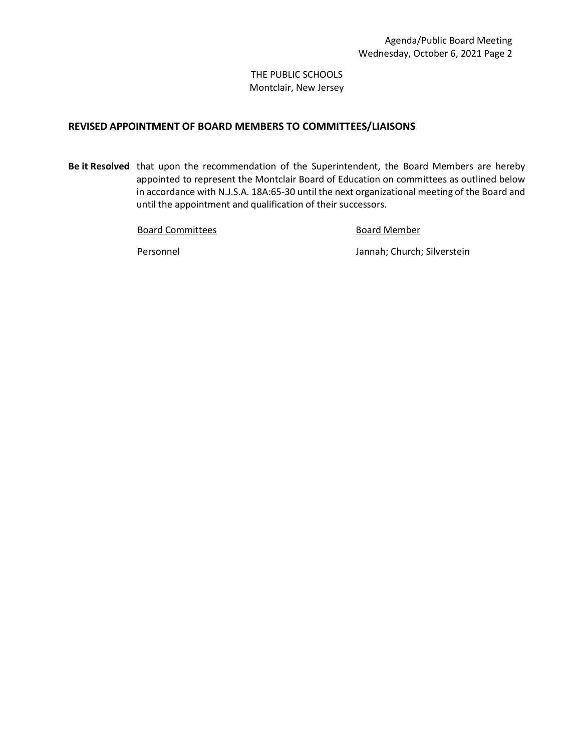## THE PUBLIC SCHOOLS Montclair, New Jersey

# **REVISED APPOINTMENT OF BOARD MEMBERS TO COMMITTEES/LIAISONS**

**Be it Resolved** that upon the recommendation of the Superintendent, the Board Members are hereby appointed to represent the Montclair Board of Education on committees as outlined below in accordance with N.J.S.A. 18A:65-30 until the next organizational meeting of the Board and until the appointment and qualification of their successors.

Board Committees **Board Member** 

Personnel Jannah; Church; Silverstein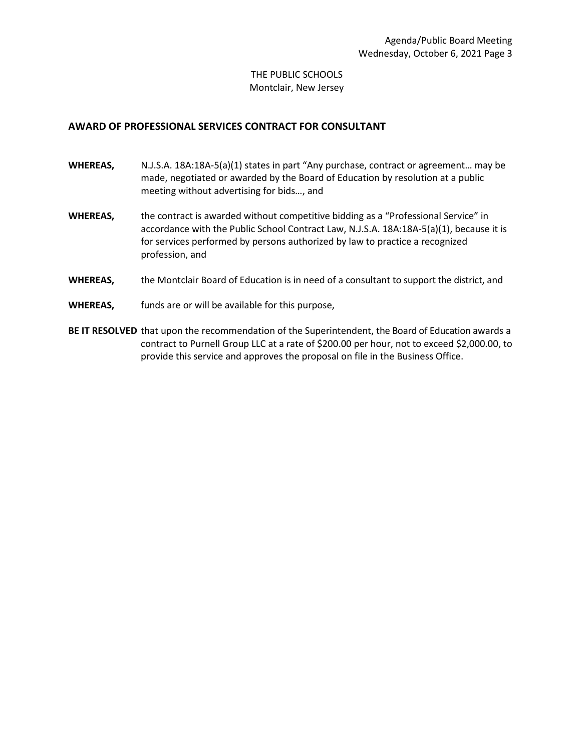## THE PUBLIC SCHOOLS Montclair, New Jersey

#### **AWARD OF PROFESSIONAL SERVICES CONTRACT FOR CONSULTANT**

- **WHEREAS,** N.J.S.A. 18A:18A-5(a)(1) states in part "Any purchase, contract or agreement… may be made, negotiated or awarded by the Board of Education by resolution at a public meeting without advertising for bids…, and
- **WHEREAS,** the contract is awarded without competitive bidding as a "Professional Service" in accordance with the Public School Contract Law, N.J.S.A. 18A:18A-5(a)(1), because it is for services performed by persons authorized by law to practice a recognized profession, and
- **WHEREAS,** the Montclair Board of Education is in need of a consultant to support the district, and
- **WHEREAS,** funds are or will be available for this purpose,
- **BE IT RESOLVED** that upon the recommendation of the Superintendent, the Board of Education awards a contract to Purnell Group LLC at a rate of \$200.00 per hour, not to exceed \$2,000.00, to provide this service and approves the proposal on file in the Business Office.